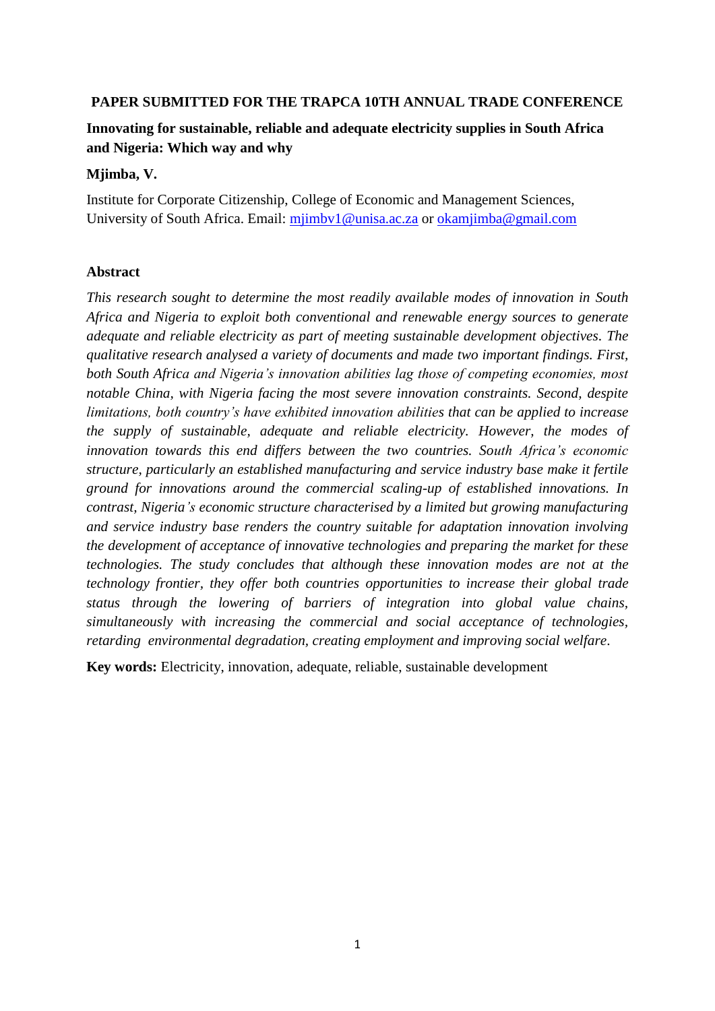## **PAPER SUBMITTED FOR THE TRAPCA 10TH ANNUAL TRADE CONFERENCE**

# **Innovating for sustainable, reliable and adequate electricity supplies in South Africa and Nigeria: Which way and why**

## **Mjimba, V.**

Institute for Corporate Citizenship, College of Economic and Management Sciences, University of South Africa. Email: miimby1@unisa.ac.za or okamiimba@gmail.com

## **Abstract**

*This research sought to determine the most readily available modes of innovation in South Africa and Nigeria to exploit both conventional and renewable energy sources to generate adequate and reliable electricity as part of meeting sustainable development objectives. The qualitative research analysed a variety of documents and made two important findings. First, both South Africa and Nigeria's innovation abilities lag those of competing economies, most notable China, with Nigeria facing the most severe innovation constraints. Second, despite limitations, both country's have exhibited innovation abilities that can be applied to increase the supply of sustainable, adequate and reliable electricity. However, the modes of innovation towards this end differs between the two countries. South Africa's economic structure, particularly an established manufacturing and service industry base make it fertile ground for innovations around the commercial scaling-up of established innovations. In contrast, Nigeria's economic structure characterised by a limited but growing manufacturing and service industry base renders the country suitable for adaptation innovation involving the development of acceptance of innovative technologies and preparing the market for these technologies. The study concludes that although these innovation modes are not at the technology frontier, they offer both countries opportunities to increase their global trade status through the lowering of barriers of integration into global value chains, simultaneously with increasing the commercial and social acceptance of technologies, retarding environmental degradation, creating employment and improving social welfare*.

**Key words:** Electricity, innovation, adequate, reliable, sustainable development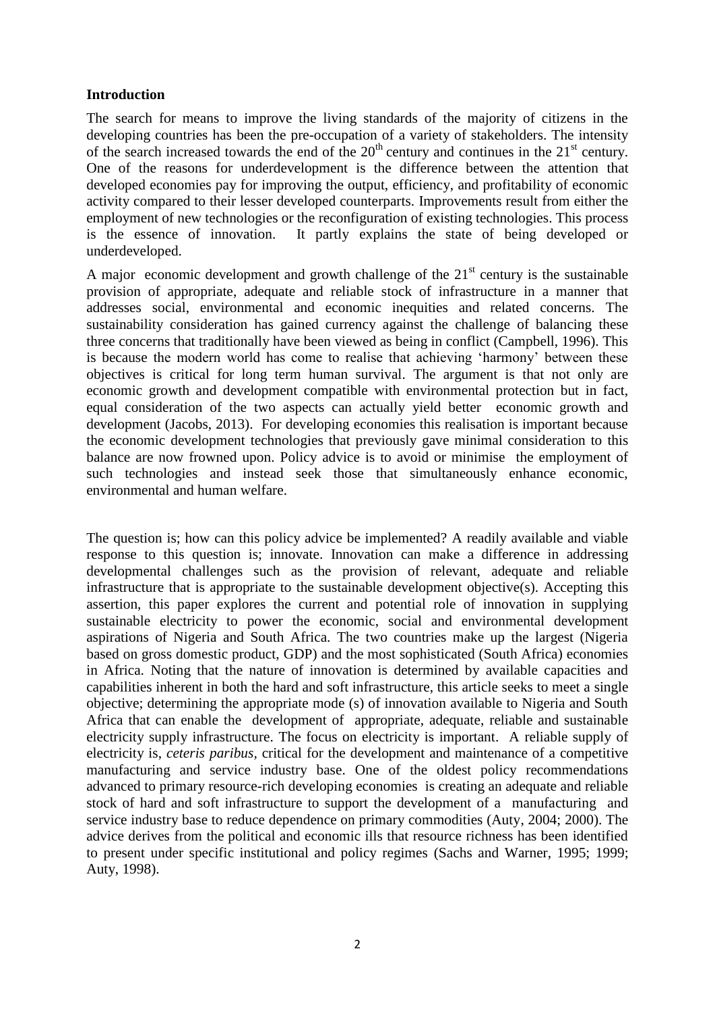## **Introduction**

The search for means to improve the living standards of the majority of citizens in the developing countries has been the pre-occupation of a variety of stakeholders. The intensity of the search increased towards the end of the  $20<sup>th</sup>$  century and continues in the  $21<sup>st</sup>$  century. One of the reasons for underdevelopment is the difference between the attention that developed economies pay for improving the output, efficiency, and profitability of economic activity compared to their lesser developed counterparts. Improvements result from either the employment of new technologies or the reconfiguration of existing technologies. This process is the essence of innovation. It partly explains the state of being developed or underdeveloped.

A major economic development and growth challenge of the  $21<sup>st</sup>$  century is the sustainable provision of appropriate, adequate and reliable stock of infrastructure in a manner that addresses social, environmental and economic inequities and related concerns. The sustainability consideration has gained currency against the challenge of balancing these three concerns that traditionally have been viewed as being in conflict (Campbell, 1996). This is because the modern world has come to realise that achieving 'harmony' between these objectives is critical for long term human survival. The argument is that not only are economic growth and development compatible with environmental protection but in fact, equal consideration of the two aspects can actually yield better economic growth and development (Jacobs, 2013). For developing economies this realisation is important because the economic development technologies that previously gave minimal consideration to this balance are now frowned upon. Policy advice is to avoid or minimise the employment of such technologies and instead seek those that simultaneously enhance economic, environmental and human welfare.

The question is; how can this policy advice be implemented? A readily available and viable response to this question is; innovate. Innovation can make a difference in addressing developmental challenges such as the provision of relevant, adequate and reliable infrastructure that is appropriate to the sustainable development objective(s). Accepting this assertion, this paper explores the current and potential role of innovation in supplying sustainable electricity to power the economic, social and environmental development aspirations of Nigeria and South Africa. The two countries make up the largest (Nigeria based on gross domestic product, GDP) and the most sophisticated (South Africa) economies in Africa. Noting that the nature of innovation is determined by available capacities and capabilities inherent in both the hard and soft infrastructure, this article seeks to meet a single objective; determining the appropriate mode (s) of innovation available to Nigeria and South Africa that can enable the development of appropriate, adequate, reliable and sustainable electricity supply infrastructure. The focus on electricity is important. A reliable supply of electricity is, *ceteris paribus,* critical for the development and maintenance of a competitive manufacturing and service industry base. One of the oldest policy recommendations advanced to primary resource-rich developing economies is creating an adequate and reliable stock of hard and soft infrastructure to support the development of a manufacturing and service industry base to reduce dependence on primary commodities (Auty, 2004; 2000). The advice derives from the political and economic ills that resource richness has been identified to present under specific institutional and policy regimes (Sachs and Warner, 1995; 1999; Auty, 1998).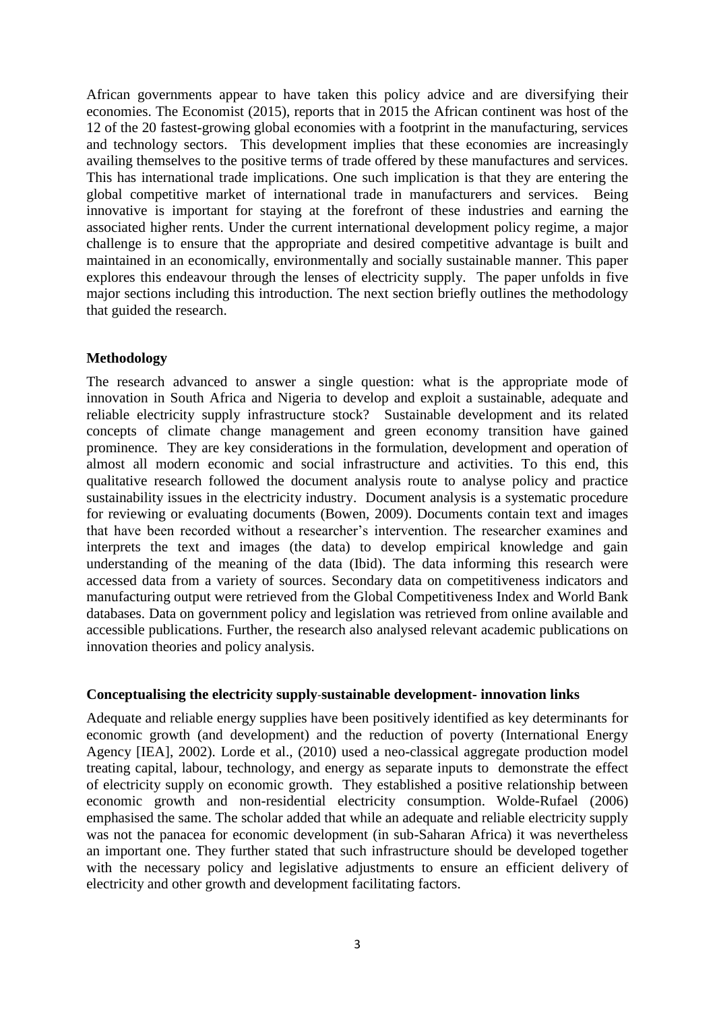African governments appear to have taken this policy advice and are diversifying their economies. The Economist (2015), reports that in 2015 the African continent was host of the 12 of the 20 fastest-growing global economies with a footprint in the manufacturing, services and technology sectors. This development implies that these economies are increasingly availing themselves to the positive terms of trade offered by these manufactures and services. This has international trade implications. One such implication is that they are entering the global competitive market of international trade in manufacturers and services. Being innovative is important for staying at the forefront of these industries and earning the associated higher rents. Under the current international development policy regime, a major challenge is to ensure that the appropriate and desired competitive advantage is built and maintained in an economically, environmentally and socially sustainable manner. This paper explores this endeavour through the lenses of electricity supply. The paper unfolds in five major sections including this introduction. The next section briefly outlines the methodology that guided the research.

## **Methodology**

The research advanced to answer a single question: what is the appropriate mode of innovation in South Africa and Nigeria to develop and exploit a sustainable, adequate and reliable electricity supply infrastructure stock? Sustainable development and its related concepts of climate change management and green economy transition have gained prominence. They are key considerations in the formulation, development and operation of almost all modern economic and social infrastructure and activities. To this end, this qualitative research followed the document analysis route to analyse policy and practice sustainability issues in the electricity industry. Document analysis is a systematic procedure for reviewing or evaluating documents (Bowen, 2009). Documents contain text and images that have been recorded without a researcher's intervention. The researcher examines and interprets the text and images (the data) to develop empirical knowledge and gain understanding of the meaning of the data (Ibid). The data informing this research were accessed data from a variety of sources. Secondary data on competitiveness indicators and manufacturing output were retrieved from the Global Competitiveness Index and World Bank databases. Data on government policy and legislation was retrieved from online available and accessible publications. Further, the research also analysed relevant academic publications on innovation theories and policy analysis.

### **Conceptualising the electricity supply**-**sustainable development- innovation links**

Adequate and reliable energy supplies have been positively identified as key determinants for economic growth (and development) and the reduction of poverty (International Energy Agency [IEA], 2002). Lorde et al., (2010) used a neo-classical aggregate production model treating capital, labour, technology, and energy as separate inputs to demonstrate the effect of electricity supply on economic growth. They established a positive relationship between economic growth and non-residential electricity consumption. Wolde-Rufael (2006) emphasised the same. The scholar added that while an adequate and reliable electricity supply was not the panacea for economic development (in sub-Saharan Africa) it was nevertheless an important one. They further stated that such infrastructure should be developed together with the necessary policy and legislative adjustments to ensure an efficient delivery of electricity and other growth and development facilitating factors.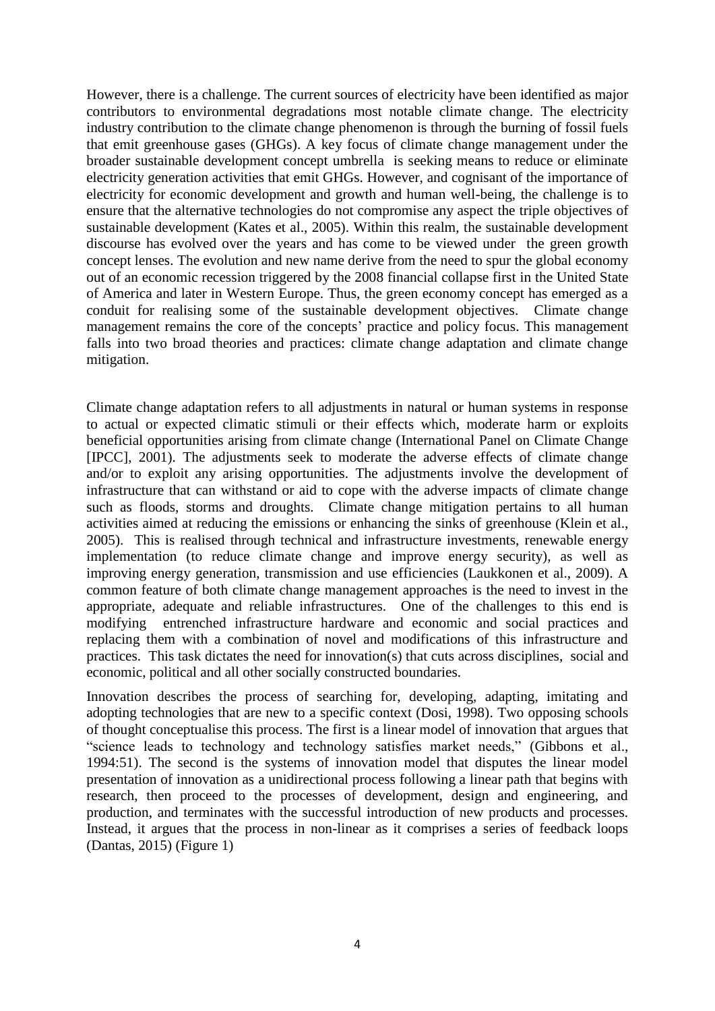However, there is a challenge. The current sources of electricity have been identified as major contributors to environmental degradations most notable climate change. The electricity industry contribution to the climate change phenomenon is through the burning of fossil fuels that emit greenhouse gases (GHGs). A key focus of climate change management under the broader sustainable development concept umbrella is seeking means to reduce or eliminate electricity generation activities that emit GHGs. However, and cognisant of the importance of electricity for economic development and growth and human well-being, the challenge is to ensure that the alternative technologies do not compromise any aspect the triple objectives of sustainable development (Kates et al., 2005). Within this realm, the sustainable development discourse has evolved over the years and has come to be viewed under the green growth concept lenses. The evolution and new name derive from the need to spur the global economy out of an economic recession triggered by the 2008 financial collapse first in the United State of America and later in Western Europe. Thus, the green economy concept has emerged as a conduit for realising some of the sustainable development objectives. Climate change management remains the core of the concepts' practice and policy focus. This management falls into two broad theories and practices: climate change adaptation and climate change mitigation.

Climate change adaptation refers to all adjustments in natural or human systems in response to actual or expected climatic stimuli or their effects which, moderate harm or exploits beneficial opportunities arising from climate change (International Panel on Climate Change [IPCC], 2001). The adjustments seek to moderate the adverse effects of climate change and/or to exploit any arising opportunities. The adjustments involve the development of infrastructure that can withstand or aid to cope with the adverse impacts of climate change such as floods, storms and droughts. Climate change mitigation pertains to all human activities aimed at reducing the emissions or enhancing the sinks of greenhouse (Klein et al., 2005). This is realised through technical and infrastructure investments, renewable energy implementation (to reduce climate change and improve energy security), as well as improving energy generation, transmission and use efficiencies (Laukkonen et al., 2009). A common feature of both climate change management approaches is the need to invest in the appropriate, adequate and reliable infrastructures. One of the challenges to this end is modifying entrenched infrastructure hardware and economic and social practices and replacing them with a combination of novel and modifications of this infrastructure and practices. This task dictates the need for innovation(s) that cuts across disciplines, social and economic, political and all other socially constructed boundaries.

Innovation describes the process of searching for, developing, adapting, imitating and adopting technologies that are new to a specific context (Dosi, 1998). Two opposing schools of thought conceptualise this process. The first is a linear model of innovation that argues that "science leads to technology and technology satisfies market needs," (Gibbons et al., 1994:51). The second is the systems of innovation model that disputes the linear model presentation of innovation as a unidirectional process following a linear path that begins with research, then proceed to the processes of development, design and engineering, and production, and terminates with the successful introduction of new products and processes. Instead, it argues that the process in non-linear as it comprises a series of feedback loops (Dantas, 2015) (Figure 1)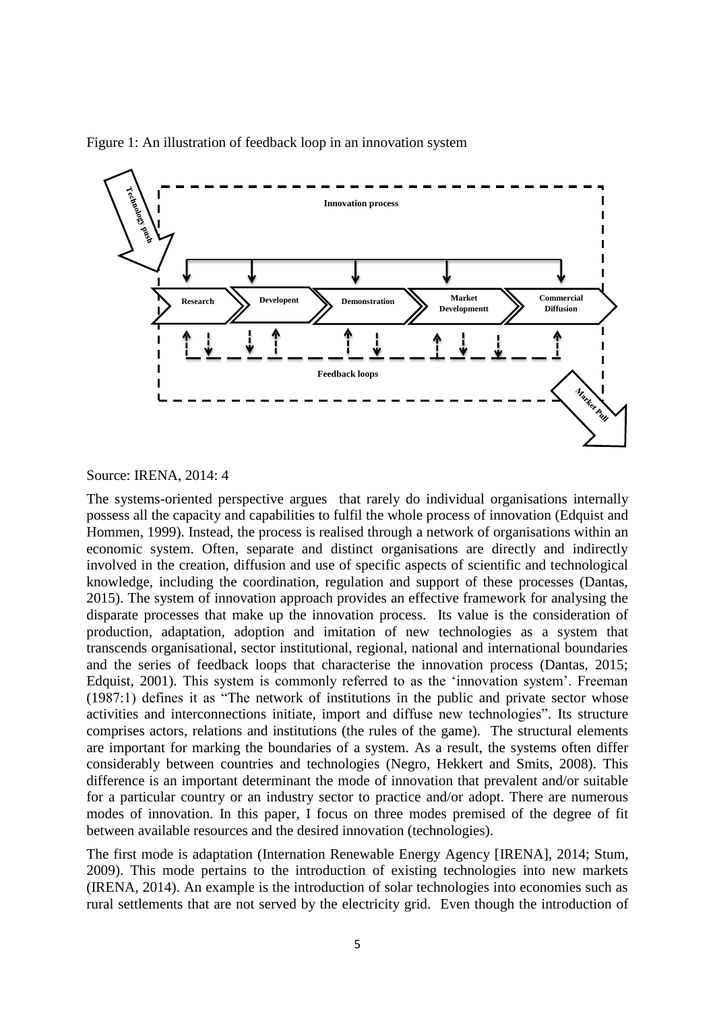

Figure 1: An illustration of feedback loop in an innovation system

### Source: IRENA, 2014: 4

The systems-oriented perspective argues that rarely do individual organisations internally possess all the capacity and capabilities to fulfil the whole process of innovation (Edquist and Hommen, 1999). Instead, the process is realised through a network of organisations within an economic system. Often, separate and distinct organisations are directly and indirectly involved in the creation, diffusion and use of specific aspects of scientific and technological knowledge, including the coordination, regulation and support of these processes (Dantas, 2015). The system of innovation approach provides an effective framework for analysing the disparate processes that make up the innovation process. Its value is the consideration of production, adaptation, adoption and imitation of new technologies as a system that transcends organisational, sector institutional, regional, national and international boundaries and the series of feedback loops that characterise the innovation process (Dantas, 2015; Edquist, 2001). This system is commonly referred to as the 'innovation system'. Freeman (1987:1) defines it as "The network of institutions in the public and private sector whose activities and interconnections initiate, import and diffuse new technologies". Its structure comprises actors, relations and institutions (the rules of the game). The structural elements are important for marking the boundaries of a system. As a result, the systems often differ considerably between countries and technologies (Negro, Hekkert and Smits, 2008). This difference is an important determinant the mode of innovation that prevalent and/or suitable for a particular country or an industry sector to practice and/or adopt. There are numerous modes of innovation. In this paper, I focus on three modes premised of the degree of fit between available resources and the desired innovation (technologies).

The first mode is adaptation (Internation Renewable Energy Agency [IRENA], 2014; Stum, 2009). This mode pertains to the introduction of existing technologies into new markets (IRENA, 2014). An example is the introduction of solar technologies into economies such as rural settlements that are not served by the electricity grid. Even though the introduction of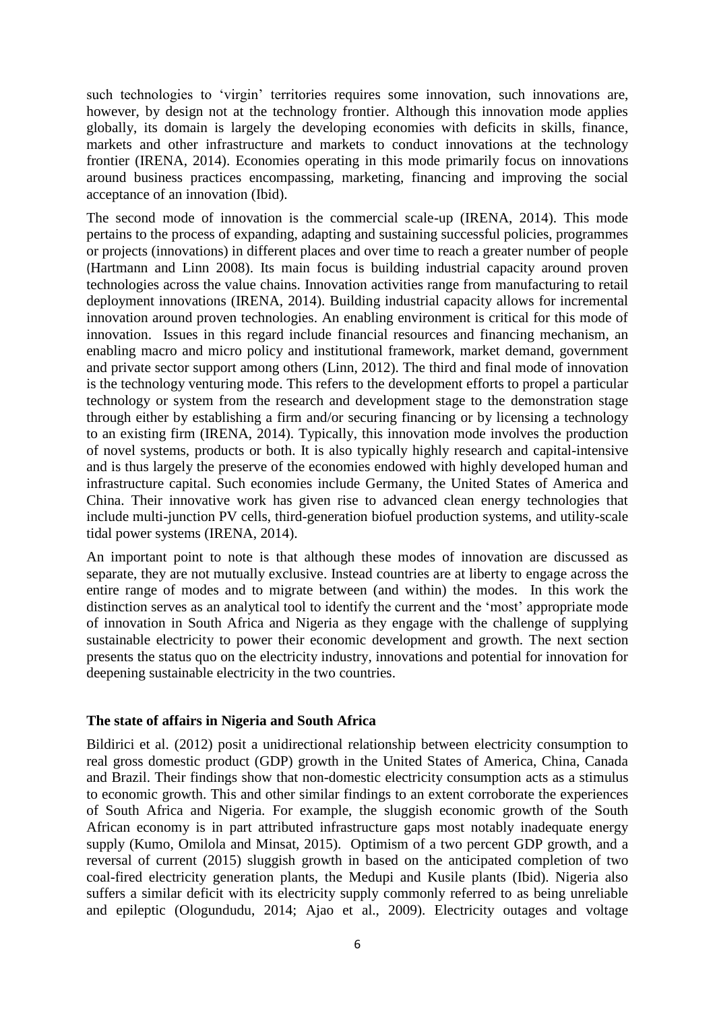such technologies to 'virgin' territories requires some innovation, such innovations are, however, by design not at the technology frontier. Although this innovation mode applies globally, its domain is largely the developing economies with deficits in skills, finance, markets and other infrastructure and markets to conduct innovations at the technology frontier (IRENA, 2014). Economies operating in this mode primarily focus on innovations around business practices encompassing, marketing, financing and improving the social acceptance of an innovation (Ibid).

The second mode of innovation is the commercial scale-up (IRENA, 2014). This mode pertains to the process of expanding, adapting and sustaining successful policies, programmes or projects (innovations) in different places and over time to reach a greater number of people (Hartmann and Linn 2008). Its main focus is building industrial capacity around proven technologies across the value chains. Innovation activities range from manufacturing to retail deployment innovations (IRENA, 2014). Building industrial capacity allows for incremental innovation around proven technologies. An enabling environment is critical for this mode of innovation. Issues in this regard include financial resources and financing mechanism, an enabling macro and micro policy and institutional framework, market demand, government and private sector support among others (Linn, 2012). The third and final mode of innovation is the technology venturing mode. This refers to the development efforts to propel a particular technology or system from the research and development stage to the demonstration stage through either by establishing a firm and/or securing financing or by licensing a technology to an existing firm (IRENA, 2014). Typically, this innovation mode involves the production of novel systems, products or both. It is also typically highly research and capital-intensive and is thus largely the preserve of the economies endowed with highly developed human and infrastructure capital. Such economies include Germany, the United States of America and China. Their innovative work has given rise to advanced clean energy technologies that include multi-junction PV cells, third-generation biofuel production systems, and utility-scale tidal power systems (IRENA, 2014).

An important point to note is that although these modes of innovation are discussed as separate, they are not mutually exclusive. Instead countries are at liberty to engage across the entire range of modes and to migrate between (and within) the modes. In this work the distinction serves as an analytical tool to identify the current and the 'most' appropriate mode of innovation in South Africa and Nigeria as they engage with the challenge of supplying sustainable electricity to power their economic development and growth. The next section presents the status quo on the electricity industry, innovations and potential for innovation for deepening sustainable electricity in the two countries.

### **The state of affairs in Nigeria and South Africa**

Bildirici et al. (2012) posit a unidirectional relationship between electricity consumption to real gross domestic product (GDP) growth in the United States of America, China, Canada and Brazil. Their findings show that non-domestic electricity consumption acts as a stimulus to economic growth. This and other similar findings to an extent corroborate the experiences of South Africa and Nigeria. For example, the sluggish economic growth of the South African economy is in part attributed infrastructure gaps most notably inadequate energy supply (Kumo, Omilola and Minsat, 2015). Optimism of a two percent GDP growth, and a reversal of current (2015) sluggish growth in based on the anticipated completion of two coal-fired electricity generation plants, the Medupi and Kusile plants (Ibid). Nigeria also suffers a similar deficit with its electricity supply commonly referred to as being unreliable and epileptic (Ologundudu, 2014; Ajao et al., 2009). Electricity outages and voltage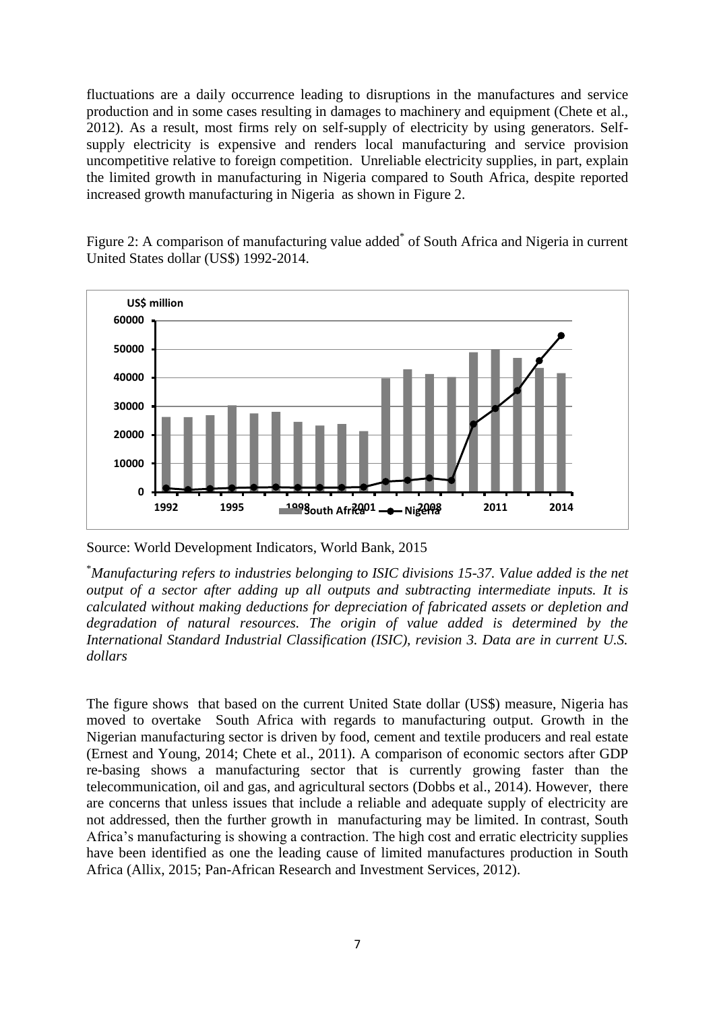fluctuations are a daily occurrence leading to disruptions in the manufactures and service production and in some cases resulting in damages to machinery and equipment (Chete et al., 2012). As a result, most firms rely on self-supply of electricity by using generators. Selfsupply electricity is expensive and renders local manufacturing and service provision uncompetitive relative to foreign competition. Unreliable electricity supplies, in part, explain the limited growth in manufacturing in Nigeria compared to South Africa, despite reported increased growth manufacturing in Nigeria as shown in Figure 2.

Figure 2: A comparison of manufacturing value added<sup>\*</sup> of South Africa and Nigeria in current United States dollar (US\$) 1992-2014.



Source: World Development Indicators, World Bank, 2015

\**Manufacturing refers to industries belonging to ISIC divisions 15-37. Value added is the net output of a sector after adding up all outputs and subtracting intermediate inputs. It is calculated without making deductions for depreciation of fabricated assets or depletion and degradation of natural resources. The origin of value added is determined by the International Standard Industrial Classification (ISIC), revision 3. Data are in current U.S. dollars*

The figure shows that based on the current United State dollar (US\$) measure, Nigeria has moved to overtake South Africa with regards to manufacturing output. Growth in the Nigerian manufacturing sector is driven by food, cement and textile producers and real estate (Ernest and Young, 2014; Chete et al., 2011). A comparison of economic sectors after GDP re-basing shows a manufacturing sector that is currently growing faster than the telecommunication, oil and gas, and agricultural sectors (Dobbs et al., 2014). However, there are concerns that unless issues that include a reliable and adequate supply of electricity are not addressed, then the further growth in manufacturing may be limited. In contrast, South Africa's manufacturing is showing a contraction. The high cost and erratic electricity supplies have been identified as one the leading cause of limited manufactures production in South Africa (Allix, 2015; Pan-African Research and Investment Services, 2012).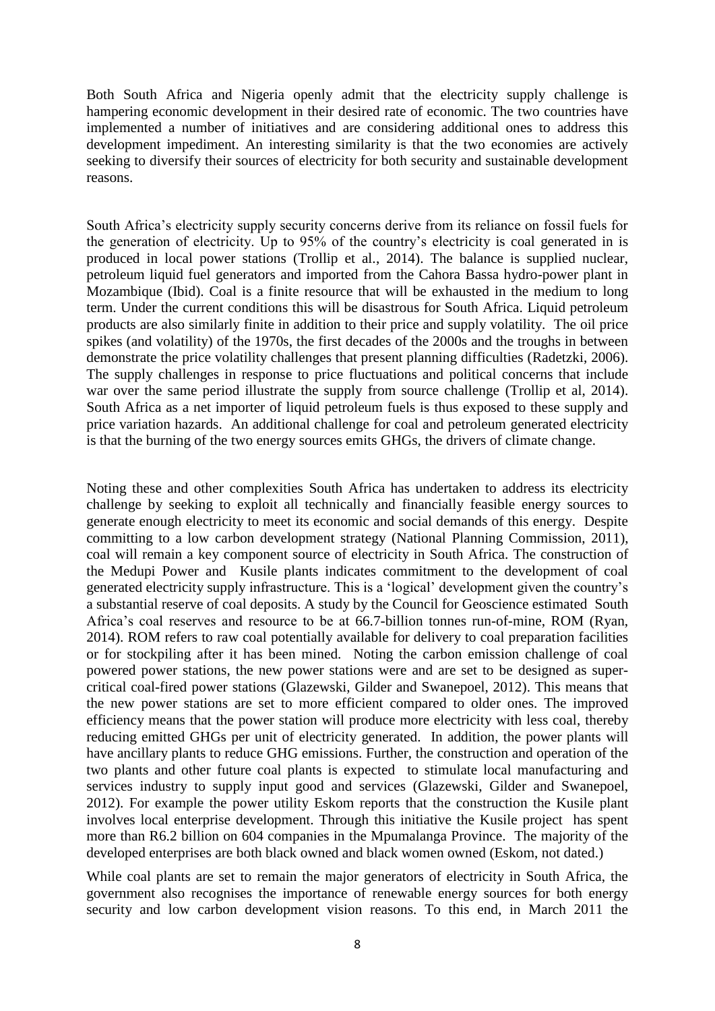Both South Africa and Nigeria openly admit that the electricity supply challenge is hampering economic development in their desired rate of economic. The two countries have implemented a number of initiatives and are considering additional ones to address this development impediment. An interesting similarity is that the two economies are actively seeking to diversify their sources of electricity for both security and sustainable development reasons.

South Africa's electricity supply security concerns derive from its reliance on fossil fuels for the generation of electricity. Up to 95% of the country's electricity is coal generated in is produced in local power stations (Trollip et al., 2014). The balance is supplied nuclear, petroleum liquid fuel generators and imported from the Cahora Bassa hydro-power plant in Mozambique (Ibid). Coal is a finite resource that will be exhausted in the medium to long term. Under the current conditions this will be disastrous for South Africa. Liquid petroleum products are also similarly finite in addition to their price and supply volatility. The oil price spikes (and volatility) of the 1970s, the first decades of the 2000s and the troughs in between demonstrate the price volatility challenges that present planning difficulties (Radetzki, 2006). The supply challenges in response to price fluctuations and political concerns that include war over the same period illustrate the supply from source challenge (Trollip et al, 2014). South Africa as a net importer of liquid petroleum fuels is thus exposed to these supply and price variation hazards. An additional challenge for coal and petroleum generated electricity is that the burning of the two energy sources emits GHGs, the drivers of climate change.

Noting these and other complexities South Africa has undertaken to address its electricity challenge by seeking to exploit all technically and financially feasible energy sources to generate enough electricity to meet its economic and social demands of this energy. Despite committing to a low carbon development strategy (National Planning Commission, 2011), coal will remain a key component source of electricity in South Africa. The construction of the Medupi Power and Kusile plants indicates commitment to the development of coal generated electricity supply infrastructure. This is a 'logical' development given the country's a substantial reserve of coal deposits. A study by the Council for Geoscience estimated South Africa's coal reserves and resource to be at 66.7-billion tonnes run-of-mine, ROM (Ryan, 2014). ROM refers to raw coal potentially available for delivery to coal preparation facilities or for stockpiling after it has been mined. Noting the carbon emission challenge of coal powered power stations, the new power stations were and are set to be designed as supercritical coal-fired power stations (Glazewski, Gilder and Swanepoel, 2012). This means that the new power stations are set to more efficient compared to older ones. The improved efficiency means that the power station will produce more electricity with less coal, thereby reducing emitted GHGs per unit of electricity generated. In addition, the power plants will have ancillary plants to reduce GHG emissions. Further, the construction and operation of the two plants and other future coal plants is expected to stimulate local manufacturing and services industry to supply input good and services (Glazewski, Gilder and Swanepoel, 2012). For example the power utility Eskom reports that the construction the Kusile plant involves local enterprise development. Through this initiative the Kusile project has spent more than R6.2 billion on 604 companies in the Mpumalanga Province. The majority of the developed enterprises are both black owned and black women owned (Eskom, not dated.)

While coal plants are set to remain the major generators of electricity in South Africa, the government also recognises the importance of renewable energy sources for both energy security and low carbon development vision reasons. To this end, in March 2011 the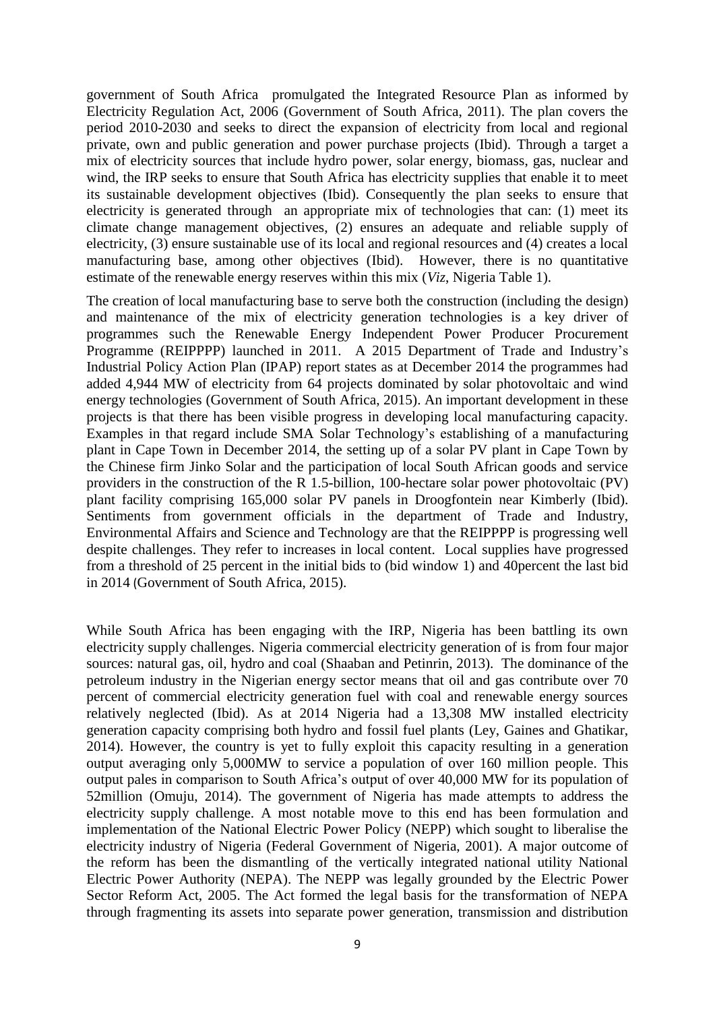government of South Africa promulgated the Integrated Resource Plan as informed by Electricity Regulation Act, 2006 (Government of South Africa, 2011). The plan covers the period 2010-2030 and seeks to direct the expansion of electricity from local and regional private, own and public generation and power purchase projects (Ibid). Through a target a mix of electricity sources that include hydro power, solar energy, biomass, gas, nuclear and wind, the IRP seeks to ensure that South Africa has electricity supplies that enable it to meet its sustainable development objectives (Ibid). Consequently the plan seeks to ensure that electricity is generated through an appropriate mix of technologies that can: (1) meet its climate change management objectives, (2) ensures an adequate and reliable supply of electricity, (3) ensure sustainable use of its local and regional resources and (4) creates a local manufacturing base, among other objectives (Ibid). However, there is no quantitative estimate of the renewable energy reserves within this mix (*Viz*, Nigeria Table 1).

The creation of local manufacturing base to serve both the construction (including the design) and maintenance of the mix of electricity generation technologies is a key driver of programmes such the Renewable Energy Independent Power Producer Procurement Programme (REIPPPP) launched in 2011. A 2015 Department of Trade and Industry's Industrial Policy Action Plan (IPAP) report states as at December 2014 the programmes had added 4,944 MW of electricity from 64 projects dominated by solar photovoltaic and wind energy technologies (Government of South Africa, 2015). An important development in these projects is that there has been visible progress in developing local manufacturing capacity. Examples in that regard include SMA Solar Technology's establishing of a manufacturing plant in Cape Town in December 2014, the setting up of a solar PV plant in Cape Town by the Chinese firm Jinko Solar and the participation of local South African goods and service providers in the construction of the R 1.5-billion, 100-hectare solar power photovoltaic (PV) plant facility comprising 165,000 solar PV panels in Droogfontein near Kimberly (Ibid). Sentiments from government officials in the department of Trade and Industry, Environmental Affairs and Science and Technology are that the REIPPPP is progressing well despite challenges. They refer to increases in local content. Local supplies have progressed from a threshold of 25 percent in the initial bids to (bid window 1) and 40percent the last bid in 2014 (Government of South Africa, 2015).

While South Africa has been engaging with the IRP, Nigeria has been battling its own electricity supply challenges. Nigeria commercial electricity generation of is from four major sources: natural gas, oil, hydro and coal (Shaaban and Petinrin, 2013). The dominance of the petroleum industry in the Nigerian energy sector means that oil and gas contribute over 70 percent of commercial electricity generation fuel with coal and renewable energy sources relatively neglected (Ibid). As at 2014 Nigeria had a 13,308 MW installed electricity generation capacity comprising both hydro and fossil fuel plants (Ley, Gaines and Ghatikar, 2014). However, the country is yet to fully exploit this capacity resulting in a generation output averaging only 5,000MW to service a population of over 160 million people. This output pales in comparison to South Africa's output of over 40,000 MW for its population of 52million (Omuju, 2014). The government of Nigeria has made attempts to address the electricity supply challenge. A most notable move to this end has been formulation and implementation of the National Electric Power Policy (NEPP) which sought to liberalise the electricity industry of Nigeria (Federal Government of Nigeria, 2001). A major outcome of the reform has been the dismantling of the vertically integrated national utility National Electric Power Authority (NEPA). The NEPP was legally grounded by the Electric Power Sector Reform Act, 2005. The Act formed the legal basis for the transformation of NEPA through fragmenting its assets into separate power generation, transmission and distribution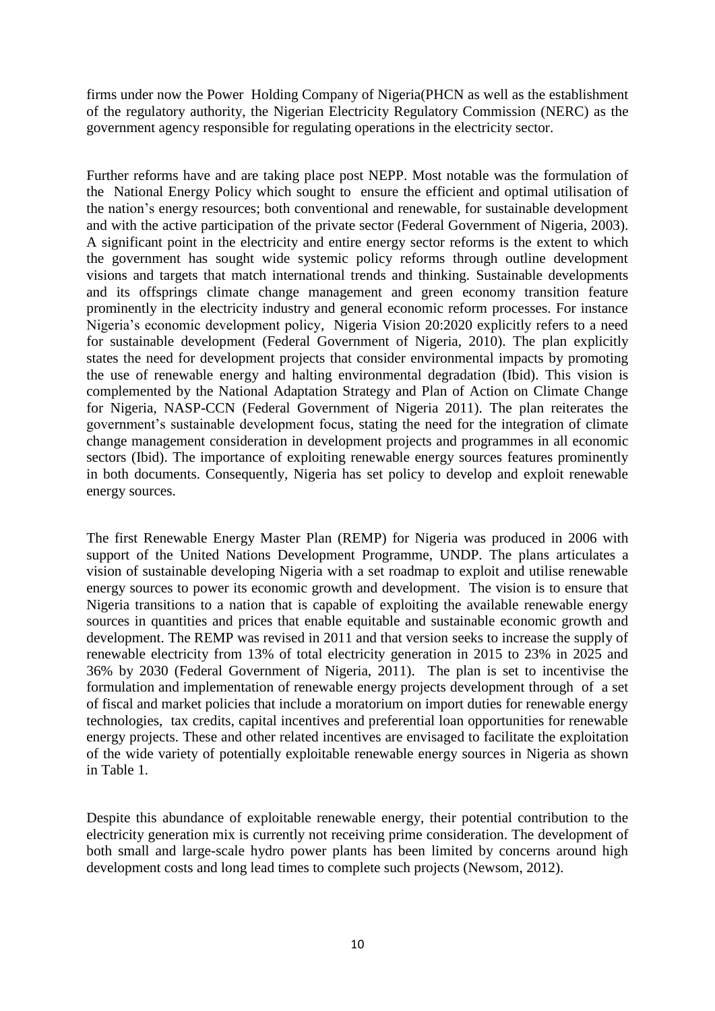firms under now the Power Holding Company of Nigeria(PHCN as well as the establishment of the regulatory authority, the Nigerian Electricity Regulatory Commission (NERC) as the government agency responsible for regulating operations in the electricity sector.

Further reforms have and are taking place post NEPP. Most notable was the formulation of the National Energy Policy which sought to ensure the efficient and optimal utilisation of the nation's energy resources; both conventional and renewable, for sustainable development and with the active participation of the private sector (Federal Government of Nigeria, 2003). A significant point in the electricity and entire energy sector reforms is the extent to which the government has sought wide systemic policy reforms through outline development visions and targets that match international trends and thinking. Sustainable developments and its offsprings climate change management and green economy transition feature prominently in the electricity industry and general economic reform processes. For instance Nigeria's economic development policy, Nigeria Vision 20:2020 explicitly refers to a need for sustainable development (Federal Government of Nigeria, 2010). The plan explicitly states the need for development projects that consider environmental impacts by promoting the use of renewable energy and halting environmental degradation (Ibid). This vision is complemented by the National Adaptation Strategy and Plan of Action on Climate Change for Nigeria, NASP-CCN (Federal Government of Nigeria 2011). The plan reiterates the government's sustainable development focus, stating the need for the integration of climate change management consideration in development projects and programmes in all economic sectors (Ibid). The importance of exploiting renewable energy sources features prominently in both documents. Consequently, Nigeria has set policy to develop and exploit renewable energy sources.

The first Renewable Energy Master Plan (REMP) for Nigeria was produced in 2006 with support of the United Nations Development Programme, UNDP. The plans articulates a vision of sustainable developing Nigeria with a set roadmap to exploit and utilise renewable energy sources to power its economic growth and development. The vision is to ensure that Nigeria transitions to a nation that is capable of exploiting the available renewable energy sources in quantities and prices that enable equitable and sustainable economic growth and development. The REMP was revised in 2011 and that version seeks to increase the supply of renewable electricity from 13% of total electricity generation in 2015 to 23% in 2025 and 36% by 2030 (Federal Government of Nigeria, 2011). The plan is set to incentivise the formulation and implementation of renewable energy projects development through of a set of fiscal and market policies that include a moratorium on import duties for renewable energy technologies, tax credits, capital incentives and preferential loan opportunities for renewable energy projects. These and other related incentives are envisaged to facilitate the exploitation of the wide variety of potentially exploitable renewable energy sources in Nigeria as shown in Table 1.

Despite this abundance of exploitable renewable energy, their potential contribution to the electricity generation mix is currently not receiving prime consideration. The development of both small and large-scale hydro power plants has been limited by concerns around high development costs and long lead times to complete such projects (Newsom, 2012).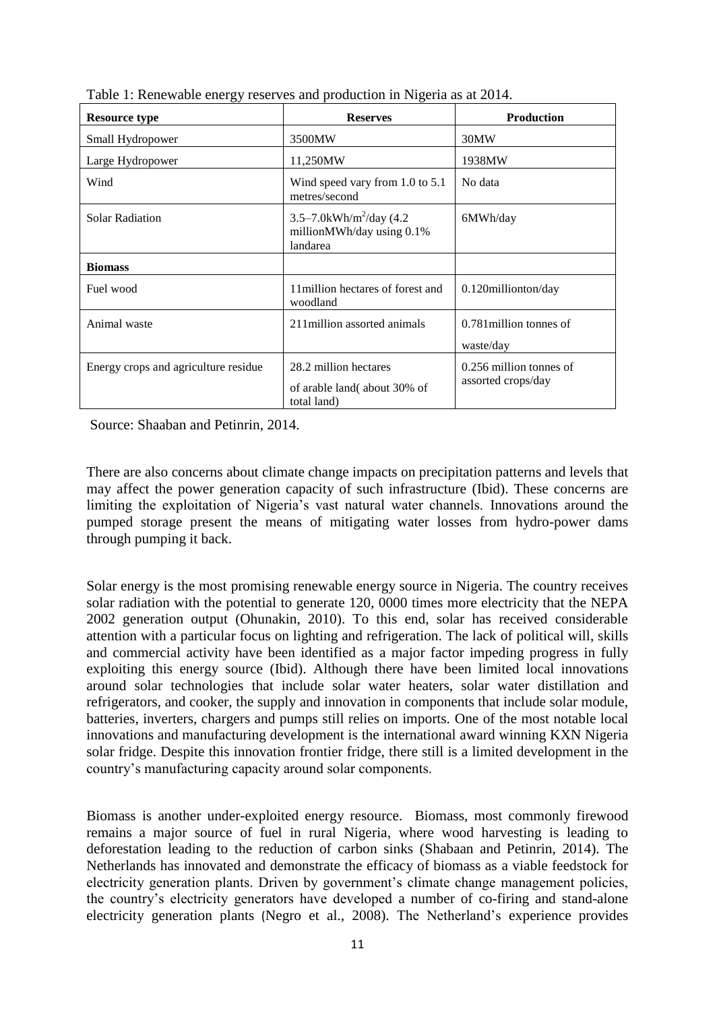| <b>Resource type</b>                 | <b>Reserves</b>                                                               | <b>Production</b>                             |  |  |  |  |  |
|--------------------------------------|-------------------------------------------------------------------------------|-----------------------------------------------|--|--|--|--|--|
| Small Hydropower                     | 3500MW                                                                        | 30MW                                          |  |  |  |  |  |
| Large Hydropower                     | 11,250MW                                                                      | 1938MW                                        |  |  |  |  |  |
| Wind                                 | Wind speed vary from 1.0 to 5.1<br>metres/second                              | No data                                       |  |  |  |  |  |
| <b>Solar Radiation</b>               | 3.5–7.0kWh/m <sup>2</sup> /day (4.2)<br>millionMWh/day using 0.1%<br>landarea | 6MWh/day                                      |  |  |  |  |  |
| <b>Biomass</b>                       |                                                                               |                                               |  |  |  |  |  |
| Fuel wood                            | 11 million hectares of forest and<br>woodland                                 | 0.120millionton/day                           |  |  |  |  |  |
| Animal waste                         | 211 million assorted animals                                                  | 0.781 million tonnes of<br>waste/day          |  |  |  |  |  |
| Energy crops and agriculture residue | 28.2 million hectares<br>of arable land (about 30% of<br>total land)          | 0.256 million tonnes of<br>assorted crops/day |  |  |  |  |  |

Table 1: Renewable energy reserves and production in Nigeria as at 2014.

Source: Shaaban and Petinrin, 2014.

There are also concerns about climate change impacts on precipitation patterns and levels that may affect the power generation capacity of such infrastructure (Ibid). These concerns are limiting the exploitation of Nigeria's vast natural water channels. Innovations around the pumped storage present the means of mitigating water losses from hydro-power dams through pumping it back.

Solar energy is the most promising renewable energy source in Nigeria. The country receives solar radiation with the potential to generate 120, 0000 times more electricity that the NEPA 2002 generation output (Ohunakin, 2010). To this end, solar has received considerable attention with a particular focus on lighting and refrigeration. The lack of political will, skills and commercial activity have been identified as a major factor impeding progress in fully exploiting this energy source (Ibid). Although there have been limited local innovations around solar technologies that include solar water heaters, solar water distillation and refrigerators, and cooker, the supply and innovation in components that include solar module, batteries, inverters, chargers and pumps still relies on imports. One of the most notable local innovations and manufacturing development is the international award winning KXN Nigeria solar fridge. Despite this innovation frontier fridge, there still is a limited development in the country's manufacturing capacity around solar components.

Biomass is another under-exploited energy resource. Biomass, most commonly firewood remains a major source of fuel in rural Nigeria, where wood harvesting is leading to deforestation leading to the reduction of carbon sinks (Shabaan and Petinrin, 2014). The Netherlands has innovated and demonstrate the efficacy of biomass as a viable feedstock for electricity generation plants. Driven by government's climate change management policies, the country's electricity generators have developed a number of co-firing and stand-alone electricity generation plants (Negro et al., 2008). The Netherland's experience provides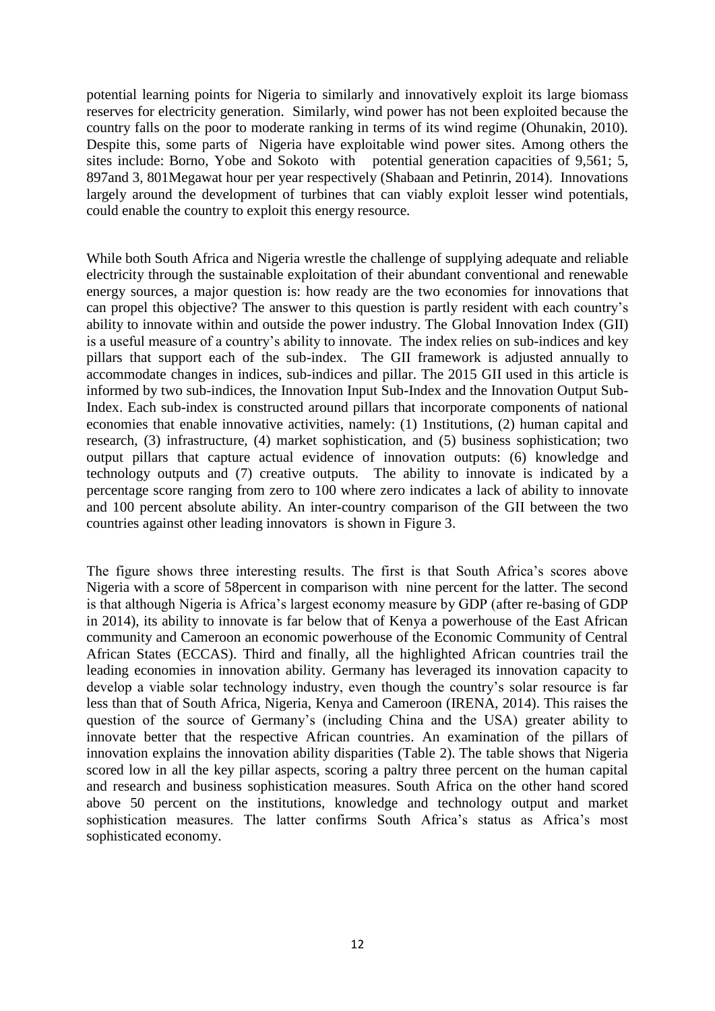potential learning points for Nigeria to similarly and innovatively exploit its large biomass reserves for electricity generation. Similarly, wind power has not been exploited because the country falls on the poor to moderate ranking in terms of its wind regime (Ohunakin, 2010). Despite this, some parts of Nigeria have exploitable wind power sites. Among others the sites include: Borno, Yobe and Sokoto with potential generation capacities of 9,561; 5, 897and 3, 801Megawat hour per year respectively (Shabaan and Petinrin, 2014). Innovations largely around the development of turbines that can viably exploit lesser wind potentials, could enable the country to exploit this energy resource.

While both South Africa and Nigeria wrestle the challenge of supplying adequate and reliable electricity through the sustainable exploitation of their abundant conventional and renewable energy sources, a major question is: how ready are the two economies for innovations that can propel this objective? The answer to this question is partly resident with each country's ability to innovate within and outside the power industry. The Global Innovation Index (GII) is a useful measure of a country's ability to innovate. The index relies on sub-indices and key pillars that support each of the sub-index. The GII framework is adjusted annually to accommodate changes in indices, sub-indices and pillar. The 2015 GII used in this article is informed by two sub-indices, the Innovation Input Sub-Index and the Innovation Output Sub-Index. Each sub-index is constructed around pillars that incorporate components of national economies that enable innovative activities, namely: (1) 1nstitutions, (2) human capital and research, (3) infrastructure, (4) market sophistication, and (5) business sophistication; two output pillars that capture actual evidence of innovation outputs: (6) knowledge and technology outputs and (7) creative outputs. The ability to innovate is indicated by a percentage score ranging from zero to 100 where zero indicates a lack of ability to innovate and 100 percent absolute ability. An inter-country comparison of the GII between the two countries against other leading innovators is shown in Figure 3.

The figure shows three interesting results. The first is that South Africa's scores above Nigeria with a score of 58percent in comparison with nine percent for the latter. The second is that although Nigeria is Africa's largest economy measure by GDP (after re-basing of GDP in 2014), its ability to innovate is far below that of Kenya a powerhouse of the East African community and Cameroon an economic powerhouse of the Economic Community of Central African States (ECCAS). Third and finally, all the highlighted African countries trail the leading economies in innovation ability. Germany has leveraged its innovation capacity to develop a viable solar technology industry, even though the country's solar resource is far less than that of South Africa, Nigeria, Kenya and Cameroon (IRENA, 2014). This raises the question of the source of Germany's (including China and the USA) greater ability to innovate better that the respective African countries. An examination of the pillars of innovation explains the innovation ability disparities (Table 2). The table shows that Nigeria scored low in all the key pillar aspects, scoring a paltry three percent on the human capital and research and business sophistication measures. South Africa on the other hand scored above 50 percent on the institutions, knowledge and technology output and market sophistication measures. The latter confirms South Africa's status as Africa's most sophisticated economy.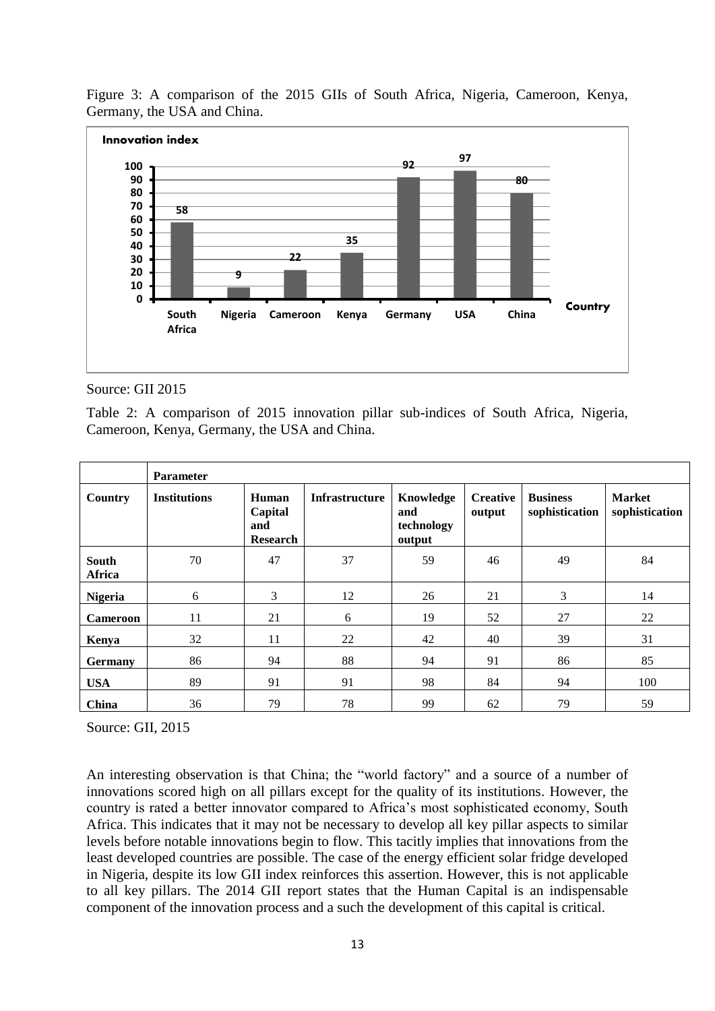

Figure 3: A comparison of the 2015 GIIs of South Africa, Nigeria, Cameroon, Kenya, Germany, the USA and China.

#### Source: GII 2015

Table 2: A comparison of 2015 innovation pillar sub-indices of South Africa, Nigeria, Cameroon, Kenya, Germany, the USA and China.

|                        | <b>Parameter</b>    |                                            |                |                                          |                           |                                   |                                 |  |  |
|------------------------|---------------------|--------------------------------------------|----------------|------------------------------------------|---------------------------|-----------------------------------|---------------------------------|--|--|
| Country                | <b>Institutions</b> | Human<br>Capital<br>and<br><b>Research</b> | Infrastructure | Knowledge<br>and<br>technology<br>output | <b>Creative</b><br>output | <b>Business</b><br>sophistication | <b>Market</b><br>sophistication |  |  |
| <b>South</b><br>Africa | 70                  | 47                                         | 37             | 59                                       | 46                        | 49                                | 84                              |  |  |
| <b>Nigeria</b>         | 6                   | 3                                          | 12             | 26                                       | 21                        | 3                                 | 14                              |  |  |
| <b>Cameroon</b>        | 11                  | 21                                         | 6              | 19                                       | 52                        | 27                                | 22                              |  |  |
| Kenya                  | 32                  | 11                                         | 22             | 42                                       | 40                        | 39                                | 31                              |  |  |
| <b>Germany</b>         | 86                  | 94                                         | 88             | 94                                       | 91                        | 86                                | 85                              |  |  |
| <b>USA</b>             | 89                  | 91                                         | 91             | 98                                       | 84                        | 94                                | 100                             |  |  |
| China                  | 36                  | 79                                         | 78             | 99                                       | 62                        | 79                                | 59                              |  |  |

Source: GII, 2015

An interesting observation is that China; the "world factory" and a source of a number of innovations scored high on all pillars except for the quality of its institutions. However, the country is rated a better innovator compared to Africa's most sophisticated economy, South Africa. This indicates that it may not be necessary to develop all key pillar aspects to similar levels before notable innovations begin to flow. This tacitly implies that innovations from the least developed countries are possible. The case of the energy efficient solar fridge developed in Nigeria, despite its low GII index reinforces this assertion. However, this is not applicable to all key pillars. The 2014 GII report states that the Human Capital is an indispensable component of the innovation process and a such the development of this capital is critical.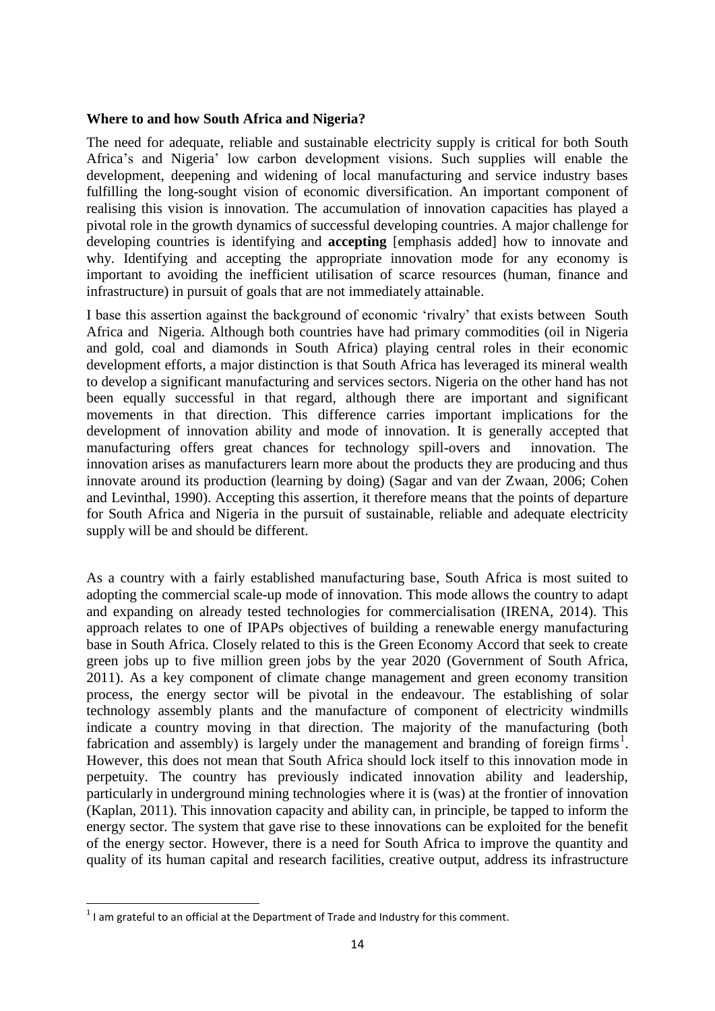### **Where to and how South Africa and Nigeria?**

The need for adequate, reliable and sustainable electricity supply is critical for both South Africa's and Nigeria' low carbon development visions. Such supplies will enable the development, deepening and widening of local manufacturing and service industry bases fulfilling the long-sought vision of economic diversification. An important component of realising this vision is innovation. The accumulation of innovation capacities has played a pivotal role in the growth dynamics of successful developing countries. A major challenge for developing countries is identifying and **accepting** [emphasis added] how to innovate and why. Identifying and accepting the appropriate innovation mode for any economy is important to avoiding the inefficient utilisation of scarce resources (human, finance and infrastructure) in pursuit of goals that are not immediately attainable.

I base this assertion against the background of economic 'rivalry' that exists between South Africa and Nigeria. Although both countries have had primary commodities (oil in Nigeria and gold, coal and diamonds in South Africa) playing central roles in their economic development efforts, a major distinction is that South Africa has leveraged its mineral wealth to develop a significant manufacturing and services sectors. Nigeria on the other hand has not been equally successful in that regard, although there are important and significant movements in that direction. This difference carries important implications for the development of innovation ability and mode of innovation. It is generally accepted that manufacturing offers great chances for technology spill-overs and innovation. The innovation arises as manufacturers learn more about the products they are producing and thus innovate around its production (learning by doing) (Sagar and van der Zwaan, 2006; Cohen and Levinthal, 1990). Accepting this assertion, it therefore means that the points of departure for South Africa and Nigeria in the pursuit of sustainable, reliable and adequate electricity supply will be and should be different.

As a country with a fairly established manufacturing base, South Africa is most suited to adopting the commercial scale-up mode of innovation. This mode allows the country to adapt and expanding on already tested technologies for commercialisation (IRENA, 2014). This approach relates to one of IPAPs objectives of building a renewable energy manufacturing base in South Africa. Closely related to this is the Green Economy Accord that seek to create green jobs up to five million green jobs by the year 2020 (Government of South Africa, 2011). As a key component of climate change management and green economy transition process, the energy sector will be pivotal in the endeavour. The establishing of solar technology assembly plants and the manufacture of component of electricity windmills indicate a country moving in that direction. The majority of the manufacturing (both fabrication and assembly) is largely under the management and branding of foreign firms<sup>1</sup>. However, this does not mean that South Africa should lock itself to this innovation mode in perpetuity. The country has previously indicated innovation ability and leadership, particularly in underground mining technologies where it is (was) at the frontier of innovation (Kaplan, 2011). This innovation capacity and ability can, in principle, be tapped to inform the energy sector. The system that gave rise to these innovations can be exploited for the benefit of the energy sector. However, there is a need for South Africa to improve the quantity and quality of its human capital and research facilities, creative output, address its infrastructure

**<sup>.</sup>**  $1$  I am grateful to an official at the Department of Trade and Industry for this comment.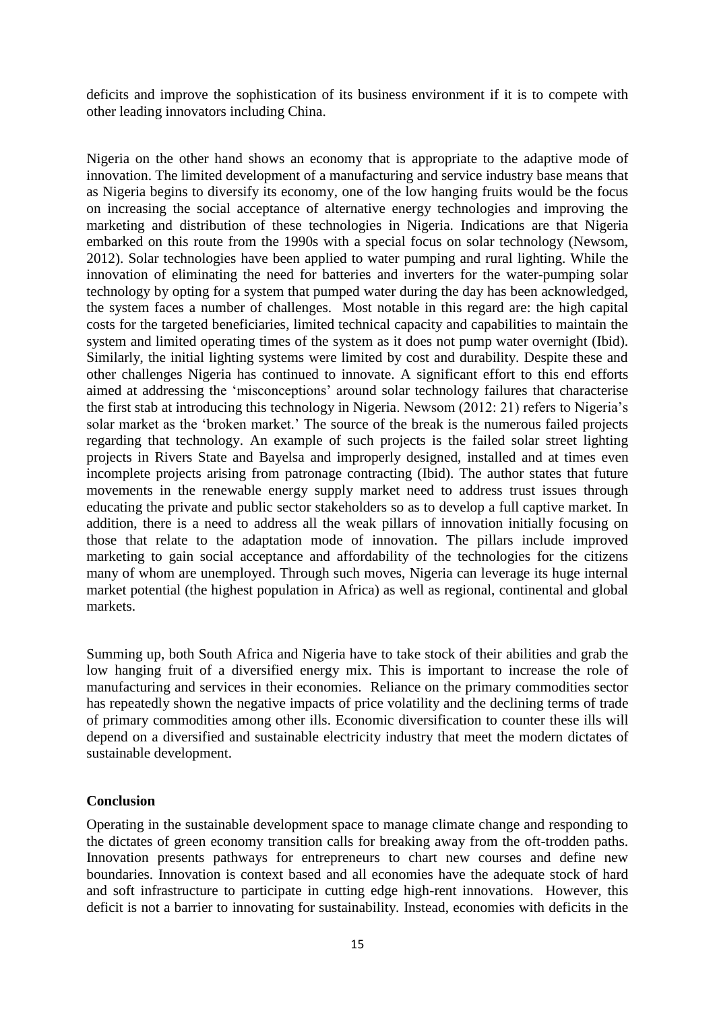deficits and improve the sophistication of its business environment if it is to compete with other leading innovators including China.

Nigeria on the other hand shows an economy that is appropriate to the adaptive mode of innovation. The limited development of a manufacturing and service industry base means that as Nigeria begins to diversify its economy, one of the low hanging fruits would be the focus on increasing the social acceptance of alternative energy technologies and improving the marketing and distribution of these technologies in Nigeria. Indications are that Nigeria embarked on this route from the 1990s with a special focus on solar technology (Newsom, 2012). Solar technologies have been applied to water pumping and rural lighting. While the innovation of eliminating the need for batteries and inverters for the water-pumping solar technology by opting for a system that pumped water during the day has been acknowledged, the system faces a number of challenges. Most notable in this regard are: the high capital costs for the targeted beneficiaries, limited technical capacity and capabilities to maintain the system and limited operating times of the system as it does not pump water overnight (Ibid). Similarly, the initial lighting systems were limited by cost and durability. Despite these and other challenges Nigeria has continued to innovate. A significant effort to this end efforts aimed at addressing the 'misconceptions' around solar technology failures that characterise the first stab at introducing this technology in Nigeria. Newsom (2012: 21) refers to Nigeria's solar market as the 'broken market.' The source of the break is the numerous failed projects regarding that technology. An example of such projects is the failed solar street lighting projects in Rivers State and Bayelsa and improperly designed, installed and at times even incomplete projects arising from patronage contracting (Ibid). The author states that future movements in the renewable energy supply market need to address trust issues through educating the private and public sector stakeholders so as to develop a full captive market. In addition, there is a need to address all the weak pillars of innovation initially focusing on those that relate to the adaptation mode of innovation. The pillars include improved marketing to gain social acceptance and affordability of the technologies for the citizens many of whom are unemployed. Through such moves, Nigeria can leverage its huge internal market potential (the highest population in Africa) as well as regional, continental and global markets.

Summing up, both South Africa and Nigeria have to take stock of their abilities and grab the low hanging fruit of a diversified energy mix. This is important to increase the role of manufacturing and services in their economies. Reliance on the primary commodities sector has repeatedly shown the negative impacts of price volatility and the declining terms of trade of primary commodities among other ills. Economic diversification to counter these ills will depend on a diversified and sustainable electricity industry that meet the modern dictates of sustainable development.

### **Conclusion**

Operating in the sustainable development space to manage climate change and responding to the dictates of green economy transition calls for breaking away from the oft-trodden paths. Innovation presents pathways for entrepreneurs to chart new courses and define new boundaries. Innovation is context based and all economies have the adequate stock of hard and soft infrastructure to participate in cutting edge high-rent innovations. However, this deficit is not a barrier to innovating for sustainability. Instead, economies with deficits in the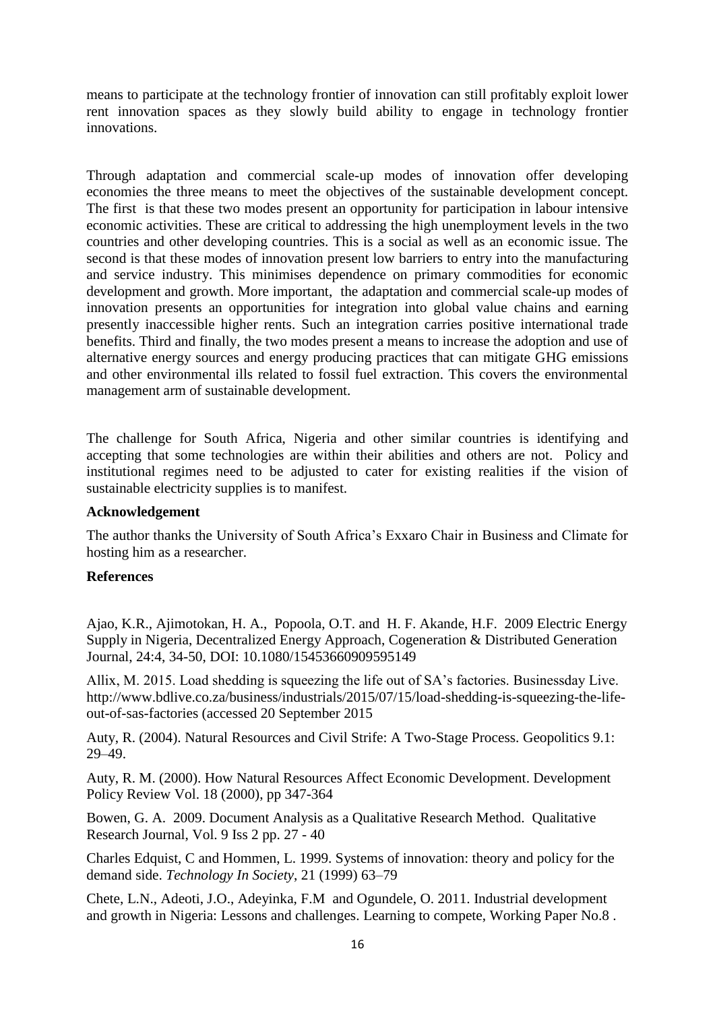means to participate at the technology frontier of innovation can still profitably exploit lower rent innovation spaces as they slowly build ability to engage in technology frontier innovations.

Through adaptation and commercial scale-up modes of innovation offer developing economies the three means to meet the objectives of the sustainable development concept. The first is that these two modes present an opportunity for participation in labour intensive economic activities. These are critical to addressing the high unemployment levels in the two countries and other developing countries. This is a social as well as an economic issue. The second is that these modes of innovation present low barriers to entry into the manufacturing and service industry. This minimises dependence on primary commodities for economic development and growth. More important, the adaptation and commercial scale-up modes of innovation presents an opportunities for integration into global value chains and earning presently inaccessible higher rents. Such an integration carries positive international trade benefits. Third and finally, the two modes present a means to increase the adoption and use of alternative energy sources and energy producing practices that can mitigate GHG emissions and other environmental ills related to fossil fuel extraction. This covers the environmental management arm of sustainable development.

The challenge for South Africa, Nigeria and other similar countries is identifying and accepting that some technologies are within their abilities and others are not. Policy and institutional regimes need to be adjusted to cater for existing realities if the vision of sustainable electricity supplies is to manifest.

### **Acknowledgement**

The author thanks the University of South Africa's Exxaro Chair in Business and Climate for hosting him as a researcher.

# **References**

Ajao, K.R., Ajimotokan, H. A., Popoola, O.T. and H. F. Akande, H.F. 2009 Electric Energy Supply in Nigeria, Decentralized Energy Approach, Cogeneration & Distributed Generation Journal, 24:4, 34-50, DOI: 10.1080/15453660909595149

Allix, M. 2015. Load shedding is squeezing the life out of SA's factories. Businessday Live. http://www.bdlive.co.za/business/industrials/2015/07/15/load-shedding-is-squeezing-the-lifeout-of-sas-factories (accessed 20 September 2015

Auty, R. (2004). Natural Resources and Civil Strife: A Two-Stage Process. Geopolitics 9.1: 29–49.

Auty, R. M. (2000). How Natural Resources Affect Economic Development. Development Policy Review Vol. 18 (2000), pp 347-364

Bowen, G. A. 2009. Document Analysis as a Qualitative Research Method. Qualitative Research Journal, Vol. 9 Iss 2 pp. 27 - 40

Charles Edquist, C and Hommen, L. 1999. Systems of innovation: theory and policy for the demand side. *Technology In Society*, 21 (1999) 63–79

Chete, L.N., Adeoti, J.O., Adeyinka, F.M and Ogundele, O. 2011. Industrial development and growth in Nigeria: Lessons and challenges. Learning to compete, Working Paper No.8 .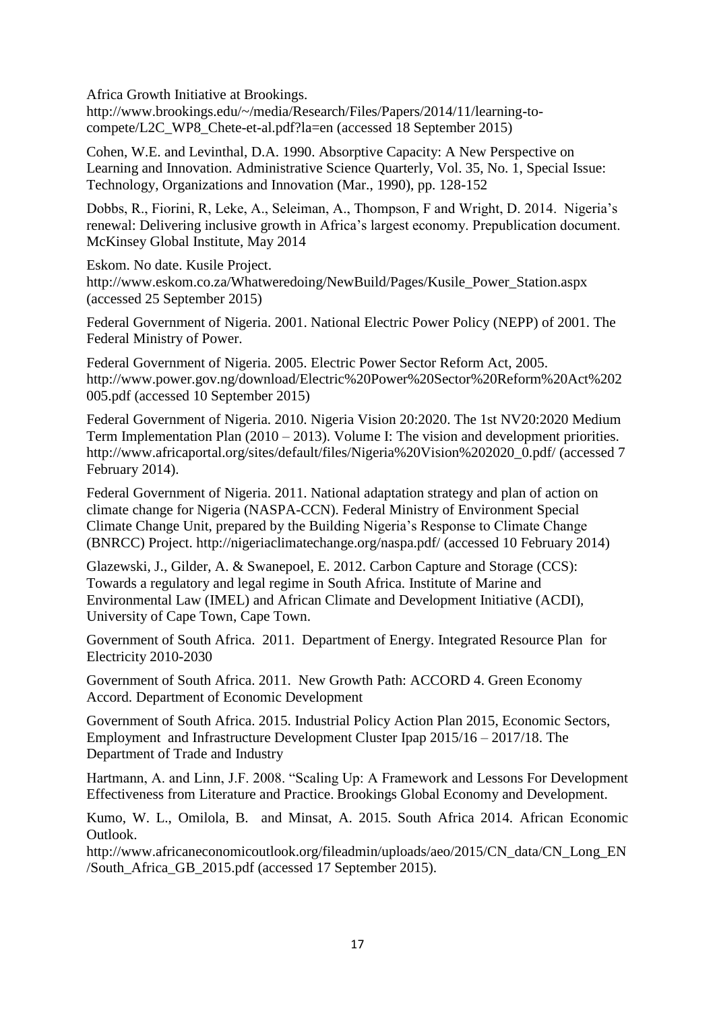Africa Growth Initiative at Brookings.

http://www.brookings.edu/~/media/Research/Files/Papers/2014/11/learning-tocompete/L2C\_WP8\_Chete-et-al.pdf?la=en (accessed 18 September 2015)

Cohen, W.E. and Levinthal, D.A. 1990. Absorptive Capacity: A New Perspective on Learning and Innovation. Administrative Science Quarterly, Vol. 35, No. 1, Special Issue: Technology, Organizations and Innovation (Mar., 1990), pp. 128-152

Dobbs, R., Fiorini, R, Leke, A., Seleiman, A., Thompson, F and Wright, D. 2014. Nigeria's renewal: Delivering inclusive growth in Africa's largest economy. Prepublication document. McKinsey Global Institute, May 2014

Eskom. No date. Kusile Project. http://www.eskom.co.za/Whatweredoing/NewBuild/Pages/Kusile\_Power\_Station.aspx (accessed 25 September 2015)

Federal Government of Nigeria. 2001. National Electric Power Policy (NEPP) of 2001. The Federal Ministry of Power.

Federal Government of Nigeria. 2005. Electric Power Sector Reform Act, 2005. http://www.power.gov.ng/download/Electric%20Power%20Sector%20Reform%20Act%202 005.pdf (accessed 10 September 2015)

Federal Government of Nigeria. 2010. Nigeria Vision 20:2020. The 1st NV20:2020 Medium Term Implementation Plan (2010 – 2013). Volume I: The vision and development priorities. http://www.africaportal.org/sites/default/files/Nigeria%20Vision%202020\_0.pdf/ (accessed 7 February 2014).

Federal Government of Nigeria. 2011. National adaptation strategy and plan of action on climate change for Nigeria (NASPA-CCN). Federal Ministry of Environment Special Climate Change Unit, prepared by the Building Nigeria's Response to Climate Change (BNRCC) Project. http://nigeriaclimatechange.org/naspa.pdf/ (accessed 10 February 2014)

Glazewski, J., Gilder, A. & Swanepoel, E. 2012. Carbon Capture and Storage (CCS): Towards a regulatory and legal regime in South Africa. Institute of Marine and Environmental Law (IMEL) and African Climate and Development Initiative (ACDI), University of Cape Town, Cape Town.

Government of South Africa. 2011. Department of Energy. Integrated Resource Plan for Electricity 2010-2030

Government of South Africa. 2011. New Growth Path: ACCORD 4. Green Economy Accord. Department of Economic Development

Government of South Africa. 2015. Industrial Policy Action Plan 2015, Economic Sectors, Employment and Infrastructure Development Cluster Ipap 2015/16 – 2017/18. The Department of Trade and Industry

Hartmann, A. and Linn, J.F. 2008. "Scaling Up: A Framework and Lessons For Development Effectiveness from Literature and Practice. Brookings Global Economy and Development.

Kumo, W. L., Omilola, B. and Minsat, A. 2015. South Africa 2014. African Economic Outlook.

http://www.africaneconomicoutlook.org/fileadmin/uploads/aeo/2015/CN\_data/CN\_Long\_EN /South\_Africa\_GB\_2015.pdf (accessed 17 September 2015).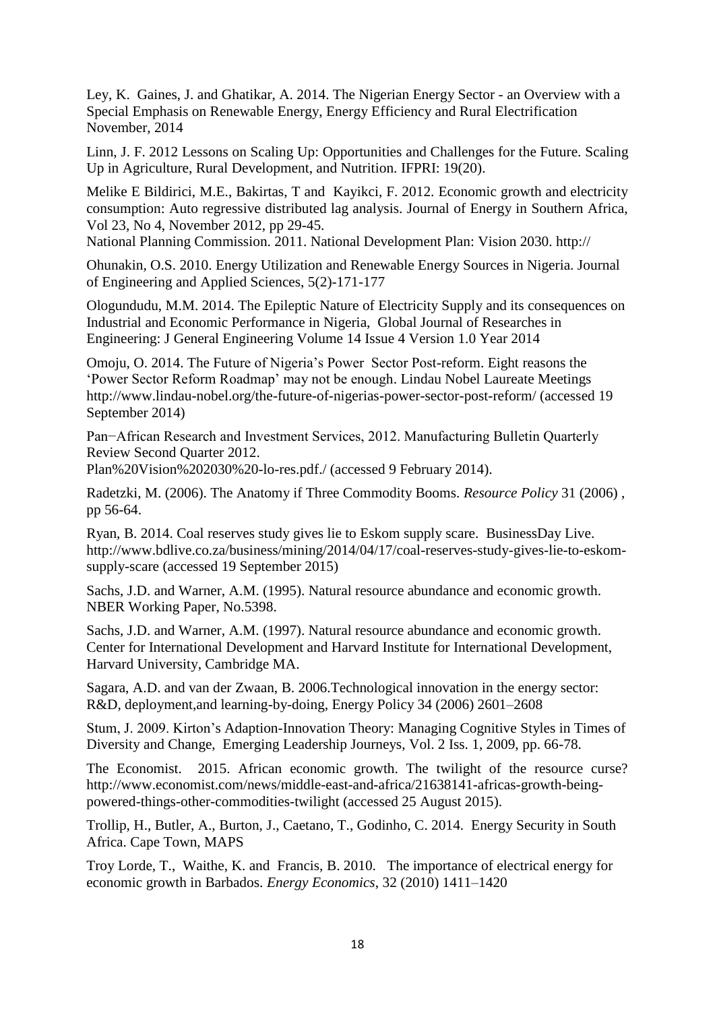Ley, K. Gaines, J. and Ghatikar, A. 2014. The Nigerian Energy Sector - an Overview with a Special Emphasis on Renewable Energy, Energy Efficiency and Rural Electrification November, 2014

Linn, J. F. 2012 Lessons on Scaling Up: Opportunities and Challenges for the Future. Scaling Up in Agriculture, Rural Development, and Nutrition. IFPRI: 19(20).

Melike E Bildirici, M.E., Bakirtas, T and Kayikci, F. 2012. Economic growth and electricity consumption: Auto regressive distributed lag analysis. Journal of Energy in Southern Africa, Vol 23, No 4, November 2012, pp 29-45.

National Planning Commission. 2011. National Development Plan: Vision 2030. http://

Ohunakin, O.S. 2010. Energy Utilization and Renewable Energy Sources in Nigeria. Journal of Engineering and Applied Sciences, 5(2)-171-177

Ologundudu, M.M. 2014. The Epileptic Nature of Electricity Supply and its consequences on Industrial and Economic Performance in Nigeria, Global Journal of Researches in Engineering: J General Engineering Volume 14 Issue 4 Version 1.0 Year 2014

Omoju, O. 2014. The Future of Nigeria's Power Sector Post-reform. Eight reasons the 'Power Sector Reform Roadmap' may not be enough. Lindau Nobel Laureate Meetings http://www.lindau-nobel.org/the-future-of-nigerias-power-sector-post-reform/ (accessed 19 September 2014)

Pan−African Research and Investment Services, 2012. Manufacturing Bulletin Quarterly Review Second Quarter 2012.

Plan%20Vision%202030%20-lo-res.pdf./ (accessed 9 February 2014).

Radetzki, M. (2006). The Anatomy if Three Commodity Booms. *Resource Policy* 31 (2006) , pp 56-64.

Ryan, B. 2014. Coal reserves study gives lie to Eskom supply scare. BusinessDay Live. http://www.bdlive.co.za/business/mining/2014/04/17/coal-reserves-study-gives-lie-to-eskomsupply-scare (accessed 19 September 2015)

Sachs, J.D. and Warner, A.M. (1995). Natural resource abundance and economic growth. NBER Working Paper, No.5398.

Sachs, J.D. and Warner, A.M. (1997). Natural resource abundance and economic growth. Center for International Development and Harvard Institute for International Development, Harvard University, Cambridge MA.

Sagara, A.D. and van der Zwaan, B. 2006.Technological innovation in the energy sector: R&D, deployment,and learning-by-doing, Energy Policy 34 (2006) 2601–2608

Stum, J. 2009. Kirton's Adaption-Innovation Theory: Managing Cognitive Styles in Times of Diversity and Change, Emerging Leadership Journeys, Vol. 2 Iss. 1, 2009, pp. 66-78.

The Economist. 2015. African economic growth. The twilight of the resource curse? http://www.economist.com/news/middle-east-and-africa/21638141-africas-growth-beingpowered-things-other-commodities-twilight (accessed 25 August 2015).

Trollip, H., Butler, A., Burton, J., Caetano, T., Godinho, C. 2014. Energy Security in South Africa. Cape Town, MAPS

Troy Lorde, T., Waithe, K. and Francis, B. 2010. The importance of electrical energy for economic growth in Barbados. *Energy Economics*, 32 (2010) 1411–1420